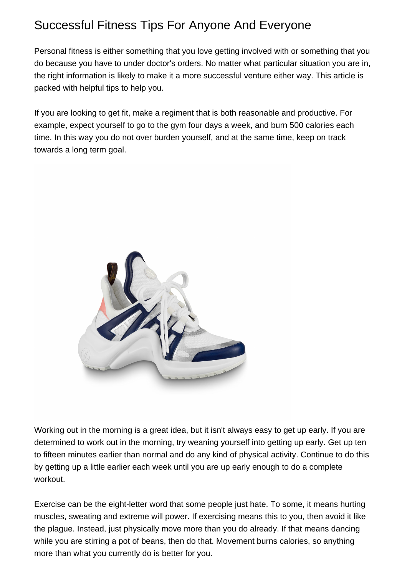## Successful Fitness Tips For Anyone And Everyone

Personal fitness is either something that you love getting involved with or something that you do because you have to under doctor's orders. No matter what particular situation you are in, the right information is likely to make it a more successful venture either way. This article is packed with helpful tips to help you.

If you are looking to get fit, make a regiment that is both reasonable and productive. For example, expect yourself to go to the gym four days a week, and burn 500 calories each time. In this way you do not over burden yourself, and at the same time, keep on track towards a long term goal.



Working out in the morning is a great idea, but it isn't always easy to get up early. If you are determined to work out in the morning, try weaning yourself into getting up early. Get up ten to fifteen minutes earlier than normal and do any kind of physical activity. Continue to do this by getting up a little earlier each week until you are up early enough to do a complete workout.

Exercise can be the eight-letter word that some people just hate. To some, it means hurting muscles, sweating and extreme will power. If exercising means this to you, then avoid it like the plague. Instead, just physically move more than you do already. If that means dancing while you are stirring a pot of beans, then do that. Movement burns calories, so anything more than what you currently do is better for you.